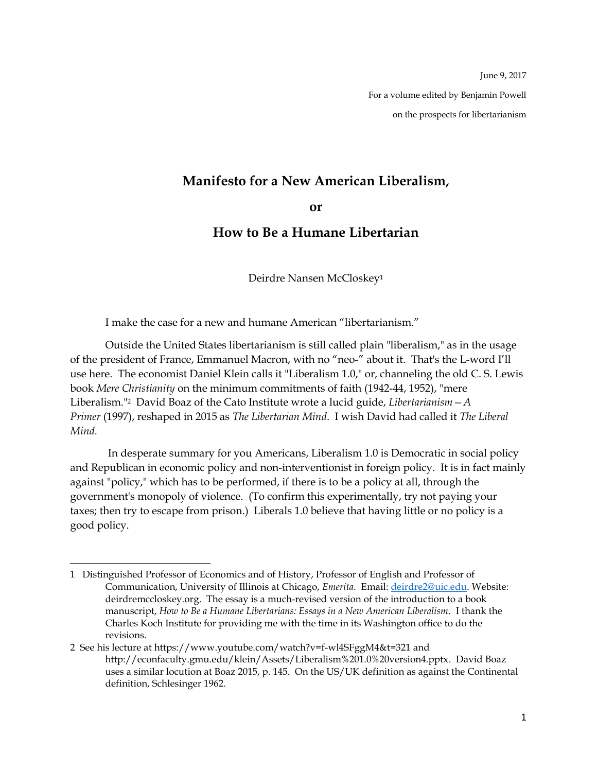June 9, 2017 For a volume edited by Benjamin Powell on the prospects for libertarianism

## **Manifesto for a New American Liberalism,**

**or**

# **How to Be a Humane Libertarian**

Deirdre Nansen McCloskey<sup>1</sup>

I make the case for a new and humane American "libertarianism."

Outside the United States libertarianism is still called plain "liberalism," as in the usage of the president of France, Emmanuel Macron, with no "neo-" about it. That's the L-word I'll use here. The economist Daniel Klein calls it "Liberalism 1.0," or, channeling the old C. S. Lewis book *Mere Christianity* on the minimum commitments of faith (1942-44, 1952), "mere Liberalism."<sup>2</sup> David Boaz of the Cato Institute wrote a lucid guide, *Libertarianism—A Primer* (1997), reshaped in 2015 as *The Libertarian Mind*. I wish David had called it *The Liberal Mind.*

In desperate summary for you Americans, Liberalism 1.0 is Democratic in social policy and Republican in economic policy and non-interventionist in foreign policy. It is in fact mainly against "policy," which has to be performed, if there is to be a policy at all, through the government's monopoly of violence. (To confirm this experimentally, try not paying your taxes; then try to escape from prison.) Liberals 1.0 believe that having little or no policy is a good policy.

<sup>1</sup> Distinguished Professor of Economics and of History, Professor of English and Professor of Communication, University of Illinois at Chicago, *Emerita*. Email: [deirdre2@uic.edu.](mailto:deirdre2@uic.edu) Website: deirdremccloskey.org. The essay is a much-revised version of the introduction to a book manuscript, *How to Be a Humane Libertarians: Essays in a New American Liberalism*. I thank the Charles Koch Institute for providing me with the time in its Washington office to do the revisions.

<sup>2</sup> See his lecture at https://www.youtube.com/watch?v=f-wl4SFggM4&t=321 and http://econfaculty.gmu.edu/klein/Assets/Liberalism%201.0%20version4.pptx. David Boaz uses a similar locution at Boaz 2015, p. 145. On the US/UK definition as against the Continental definition, Schlesinger 1962.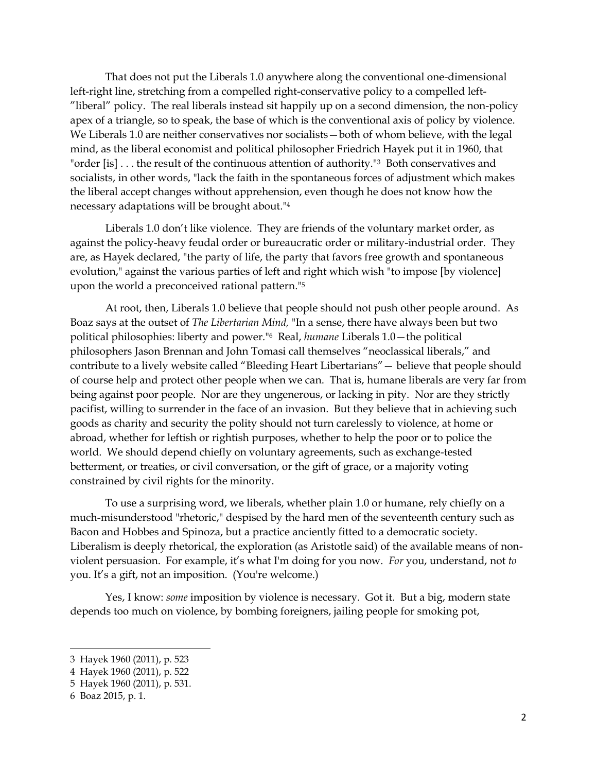That does not put the Liberals 1.0 anywhere along the conventional one-dimensional left-right line, stretching from a compelled right-conservative policy to a compelled left- "liberal" policy. The real liberals instead sit happily up on a second dimension, the non-policy apex of a triangle, so to speak, the base of which is the conventional axis of policy by violence. We Liberals 1.0 are neither conservatives nor socialists — both of whom believe, with the legal mind, as the liberal economist and political philosopher Friedrich Hayek put it in 1960, that "order [is] . . . the result of the continuous attention of authority."<sup>3</sup> Both conservatives and socialists, in other words, "lack the faith in the spontaneous forces of adjustment which makes the liberal accept changes without apprehension, even though he does not know how the necessary adaptations will be brought about."<sup>4</sup>

Liberals 1.0 don't like violence. They are friends of the voluntary market order, as against the policy-heavy feudal order or bureaucratic order or military-industrial order. They are, as Hayek declared, "the party of life, the party that favors free growth and spontaneous evolution," against the various parties of left and right which wish "to impose [by violence] upon the world a preconceived rational pattern."<sup>5</sup>

At root, then, Liberals 1.0 believe that people should not push other people around. As Boaz says at the outset of *The Libertarian Mind,* "In a sense, there have always been but two political philosophies: liberty and power."<sup>6</sup> Real, *humane* Liberals 1.0—the political philosophers Jason Brennan and John Tomasi call themselves "neoclassical liberals," and contribute to a lively website called "Bleeding Heart Libertarians"— believe that people should of course help and protect other people when we can. That is, humane liberals are very far from being against poor people. Nor are they ungenerous, or lacking in pity. Nor are they strictly pacifist, willing to surrender in the face of an invasion. But they believe that in achieving such goods as charity and security the polity should not turn carelessly to violence, at home or abroad, whether for leftish or rightish purposes, whether to help the poor or to police the world. We should depend chiefly on voluntary agreements, such as exchange-tested betterment, or treaties, or civil conversation, or the gift of grace, or a majority voting constrained by civil rights for the minority.

To use a surprising word, we liberals, whether plain 1.0 or humane, rely chiefly on a much-misunderstood "rhetoric," despised by the hard men of the seventeenth century such as Bacon and Hobbes and Spinoza, but a practice anciently fitted to a democratic society. Liberalism is deeply rhetorical, the exploration (as Aristotle said) of the available means of nonviolent persuasion. For example, it's what I'm doing for you now. *For* you, understand, not *to*  you. It's a gift, not an imposition. (You're welcome.)

Yes, I know: *some* imposition by violence is necessary. Got it. But a big, modern state depends too much on violence, by bombing foreigners, jailing people for smoking pot,

<sup>3</sup> Hayek 1960 (2011), p. 523

<sup>4</sup> Hayek 1960 (2011), p. 522

<sup>5</sup> Hayek 1960 (2011), p. 531.

<sup>6</sup> Boaz 2015, p. 1.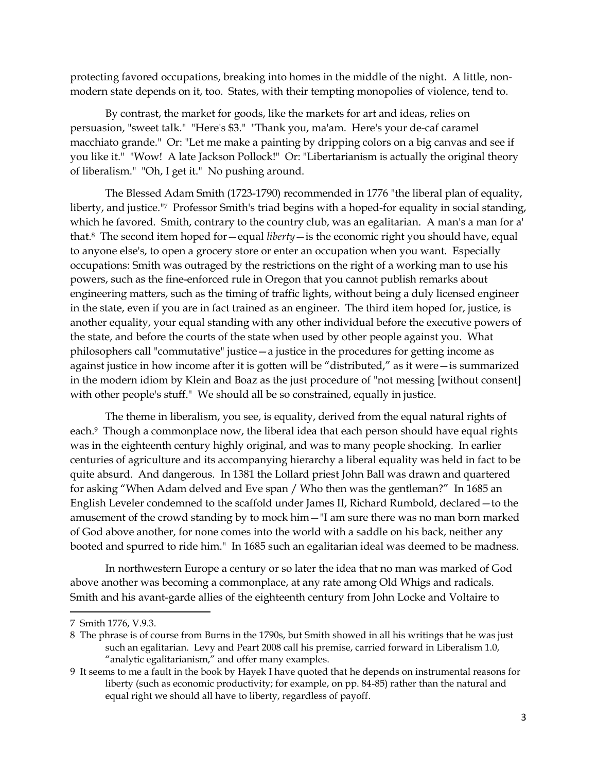protecting favored occupations, breaking into homes in the middle of the night. A little, nonmodern state depends on it, too. States, with their tempting monopolies of violence, tend to.

By contrast, the market for goods, like the markets for art and ideas, relies on persuasion, "sweet talk." "Here's \$3." "Thank you, ma'am. Here's your de-caf caramel macchiato grande." Or: "Let me make a painting by dripping colors on a big canvas and see if you like it." "Wow! A late Jackson Pollock!" Or: "Libertarianism is actually the original theory of liberalism." "Oh, I get it." No pushing around.

The Blessed Adam Smith (1723-1790) recommended in 1776 "the liberal plan of equality, liberty, and justice."7 Professor Smith's triad begins with a hoped-for equality in social standing, which he favored. Smith, contrary to the country club, was an egalitarian. A man's a man for a' that.<sup>8</sup> The second item hoped for—equal *liberty*—is the economic right you should have, equal to anyone else's, to open a grocery store or enter an occupation when you want. Especially occupations: Smith was outraged by the restrictions on the right of a working man to use his powers, such as the fine-enforced rule in Oregon that you cannot publish remarks about engineering matters, such as the timing of traffic lights, without being a duly licensed engineer in the state, even if you are in fact trained as an engineer. The third item hoped for, justice, is another equality, your equal standing with any other individual before the executive powers of the state, and before the courts of the state when used by other people against you. What philosophers call "commutative" justice—a justice in the procedures for getting income as against justice in how income after it is gotten will be "distributed," as it were—is summarized in the modern idiom by Klein and Boaz as the just procedure of "not messing [without consent] with other people's stuff." We should all be so constrained, equally in justice.

The theme in liberalism, you see, is equality, derived from the equal natural rights of each.<sup>9</sup> Though a commonplace now, the liberal idea that each person should have equal rights was in the eighteenth century highly original, and was to many people shocking. In earlier centuries of agriculture and its accompanying hierarchy a liberal equality was held in fact to be quite absurd. And dangerous. In 1381 the Lollard priest John Ball was drawn and quartered for asking "When Adam delved and Eve span / Who then was the gentleman?" In 1685 an English Leveler condemned to the scaffold under James II, Richard Rumbold, declared—to the amusement of the crowd standing by to mock him—"I am sure there was no man born marked of God above another, for none comes into the world with a saddle on his back, neither any booted and spurred to ride him." In 1685 such an egalitarian ideal was deemed to be madness.

In northwestern Europe a century or so later the idea that no man was marked of God above another was becoming a commonplace, at any rate among Old Whigs and radicals. Smith and his avant-garde allies of the eighteenth century from John Locke and Voltaire to

 $\overline{\phantom{a}}$ 

<sup>7</sup> Smith 1776, V.9.3.

<sup>8</sup> The phrase is of course from Burns in the 1790s, but Smith showed in all his writings that he was just such an egalitarian. Levy and Peart 2008 call his premise, carried forward in Liberalism 1.0, "analytic egalitarianism," and offer many examples.

<sup>9</sup> It seems to me a fault in the book by Hayek I have quoted that he depends on instrumental reasons for liberty (such as economic productivity; for example, on pp. 84-85) rather than the natural and equal right we should all have to liberty, regardless of payoff.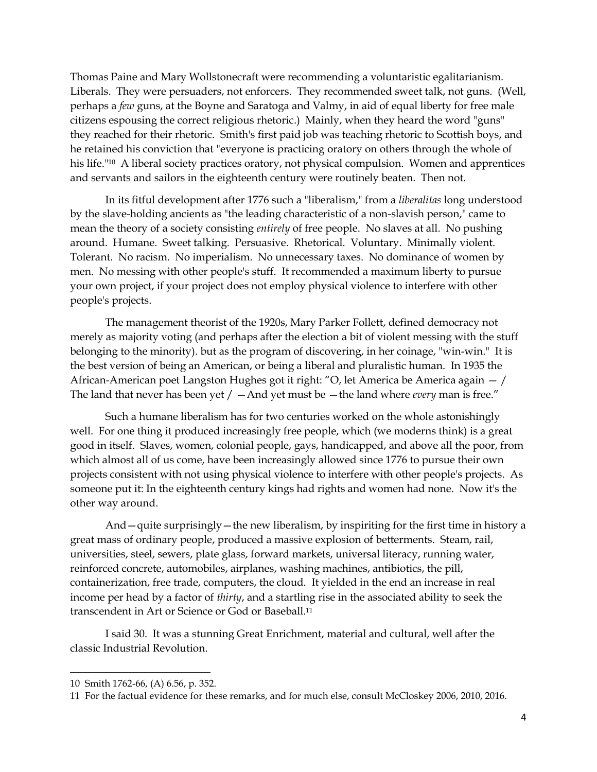Thomas Paine and Mary Wollstonecraft were recommending a voluntaristic egalitarianism. Liberals. They were persuaders, not enforcers. They recommended sweet talk, not guns. (Well, perhaps a *few* guns, at the Boyne and Saratoga and Valmy, in aid of equal liberty for free male citizens espousing the correct religious rhetoric.) Mainly, when they heard the word "guns" they reached for their rhetoric. Smith's first paid job was teaching rhetoric to Scottish boys, and he retained his conviction that "everyone is practicing oratory on others through the whole of his life."<sup>10</sup> A liberal society practices oratory, not physical compulsion. Women and apprentices and servants and sailors in the eighteenth century were routinely beaten. Then not.

In its fitful development after 1776 such a "liberalism," from a *liberalitas* long understood by the slave-holding ancients as "the leading characteristic of a non-slavish person," came to mean the theory of a society consisting *entirely* of free people. No slaves at all. No pushing around. Humane. Sweet talking. Persuasive. Rhetorical. Voluntary. Minimally violent. Tolerant. No racism. No imperialism. No unnecessary taxes. No dominance of women by men. No messing with other people's stuff. It recommended a maximum liberty to pursue your own project, if your project does not employ physical violence to interfere with other people's projects.

The management theorist of the 1920s, Mary Parker Follett, defined democracy not merely as majority voting (and perhaps after the election a bit of violent messing with the stuff belonging to the minority). but as the program of discovering, in her coinage, "win-win." It is the best version of being an American, or being a liberal and pluralistic human. In 1935 the African-American poet Langston Hughes got it right: "O, let America be America again — / The land that never has been yet / —And yet must be —the land where *every* man is free."

Such a humane liberalism has for two centuries worked on the whole astonishingly well. For one thing it produced increasingly free people, which (we moderns think) is a great good in itself. Slaves, women, colonial people, gays, handicapped, and above all the poor, from which almost all of us come, have been increasingly allowed since 1776 to pursue their own projects consistent with not using physical violence to interfere with other people's projects. As someone put it: In the eighteenth century kings had rights and women had none. Now it's the other way around.

And—quite surprisingly—the new liberalism, by inspiriting for the first time in history a great mass of ordinary people, produced a massive explosion of betterments. Steam, rail, universities, steel, sewers, plate glass, forward markets, universal literacy, running water, reinforced concrete, automobiles, airplanes, washing machines, antibiotics, the pill, containerization, free trade, computers, the cloud. It yielded in the end an increase in real income per head by a factor of *thirty*, and a startling rise in the associated ability to seek the transcendent in Art or Science or God or Baseball. 11

I said 30. It was a stunning Great Enrichment, material and cultural, well after the classic Industrial Revolution.

<sup>10</sup> Smith 1762-66, (A) 6.56, p. 352.

<sup>11</sup> For the factual evidence for these remarks, and for much else, consult McCloskey 2006, 2010, 2016.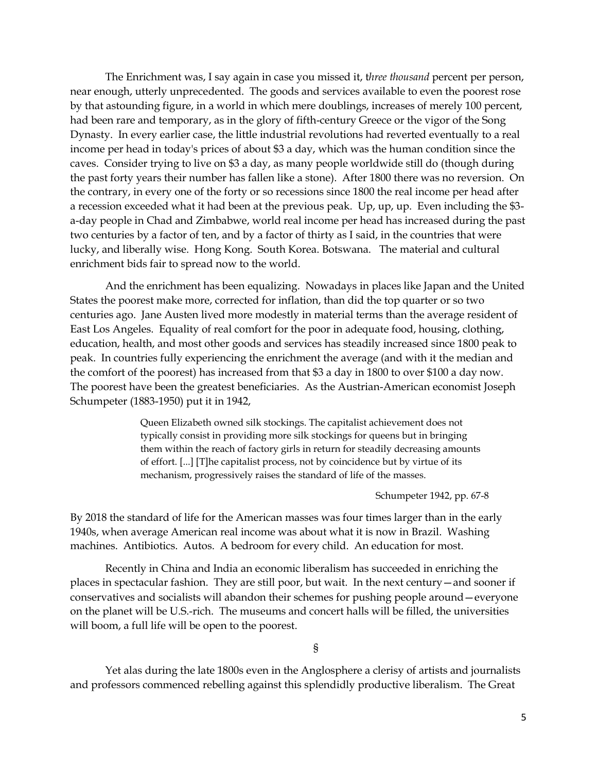The Enrichment was, I say again in case you missed it, t*hree thousand* percent per person, near enough, utterly unprecedented. The goods and services available to even the poorest rose by that astounding figure, in a world in which mere doublings, increases of merely 100 percent, had been rare and temporary, as in the glory of fifth-century Greece or the vigor of the Song Dynasty. In every earlier case, the little industrial revolutions had reverted eventually to a real income per head in today's prices of about \$3 a day, which was the human condition since the caves. Consider trying to live on \$3 a day, as many people worldwide still do (though during the past forty years their number has fallen like a stone). After 1800 there was no reversion. On the contrary, in every one of the forty or so recessions since 1800 the real income per head after a recession exceeded what it had been at the previous peak. Up, up, up. Even including the \$3 a-day people in Chad and Zimbabwe, world real income per head has increased during the past two centuries by a factor of ten, and by a factor of thirty as I said, in the countries that were lucky, and liberally wise. Hong Kong. South Korea. Botswana. The material and cultural enrichment bids fair to spread now to the world.

And the enrichment has been equalizing. Nowadays in places like Japan and the United States the poorest make more, corrected for inflation, than did the top quarter or so two centuries ago. Jane Austen lived more modestly in material terms than the average resident of East Los Angeles. Equality of real comfort for the poor in adequate food, housing, clothing, education, health, and most other goods and services has steadily increased since 1800 peak to peak. In countries fully experiencing the enrichment the average (and with it the median and the comfort of the poorest) has increased from that \$3 a day in 1800 to over \$100 a day now. The poorest have been the greatest beneficiaries. As the Austrian-American economist Joseph Schumpeter (1883-1950) put it in 1942,

> Queen Elizabeth owned silk stockings. The capitalist achievement does not typically consist in providing more silk stockings for queens but in bringing them within the reach of factory girls in return for steadily decreasing amounts of effort. [...] [T]he capitalist process, not by coincidence but by virtue of its mechanism, progressively raises the standard of life of the masses.

#### Schumpeter 1942, pp. 67-8

By 2018 the standard of life for the American masses was four times larger than in the early 1940s, when average American real income was about what it is now in Brazil. Washing machines. Antibiotics. Autos. A bedroom for every child. An education for most.

Recently in China and India an economic liberalism has succeeded in enriching the places in spectacular fashion. They are still poor, but wait. In the next century—and sooner if conservatives and socialists will abandon their schemes for pushing people around—everyone on the planet will be U.S.-rich. The museums and concert halls will be filled, the universities will boom, a full life will be open to the poorest.

§

Yet alas during the late 1800s even in the Anglosphere a clerisy of artists and journalists and professors commenced rebelling against this splendidly productive liberalism. The Great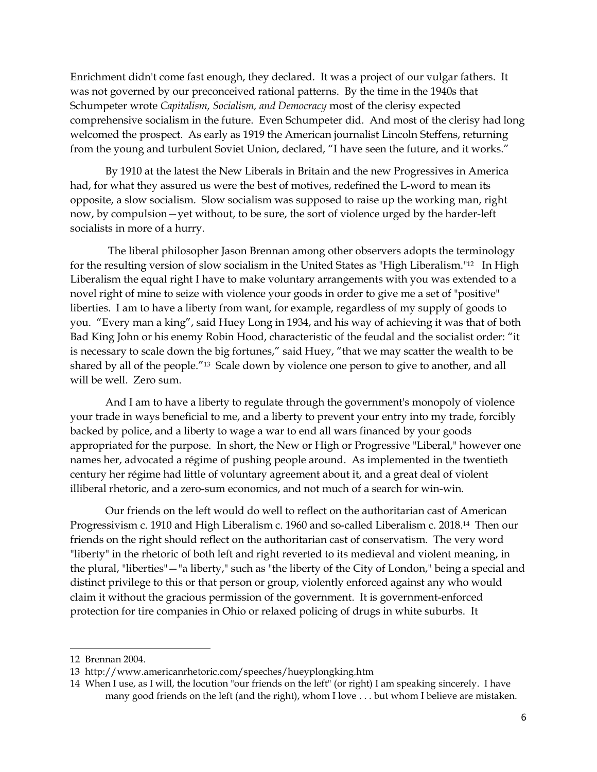Enrichment didn't come fast enough, they declared. It was a project of our vulgar fathers. It was not governed by our preconceived rational patterns. By the time in the 1940s that Schumpeter wrote *Capitalism, Socialism, and Democracy* most of the clerisy expected comprehensive socialism in the future. Even Schumpeter did. And most of the clerisy had long welcomed the prospect. As early as 1919 the American journalist Lincoln Steffens, returning from the young and turbulent Soviet Union, declared, "I have seen the future, and it works."

By 1910 at the latest the New Liberals in Britain and the new Progressives in America had, for what they assured us were the best of motives, redefined the L-word to mean its opposite, a slow socialism. Slow socialism was supposed to raise up the working man, right now, by compulsion—yet without, to be sure, the sort of violence urged by the harder-left socialists in more of a hurry.

The liberal philosopher Jason Brennan among other observers adopts the terminology for the resulting version of slow socialism in the United States as "High Liberalism."<sup>12</sup> In High Liberalism the equal right I have to make voluntary arrangements with you was extended to a novel right of mine to seize with violence your goods in order to give me a set of "positive" liberties. I am to have a liberty from want, for example, regardless of my supply of goods to you. "Every man a king", said Huey Long in 1934, and his way of achieving it was that of both Bad King John or his enemy Robin Hood, characteristic of the feudal and the socialist order: "it is necessary to scale down the big fortunes," said Huey, "that we may scatter the wealth to be shared by all of the people."13 Scale down by violence one person to give to another, and all will be well. Zero sum.

And I am to have a liberty to regulate through the government's monopoly of violence your trade in ways beneficial to me, and a liberty to prevent your entry into my trade, forcibly backed by police, and a liberty to wage a war to end all wars financed by your goods appropriated for the purpose. In short, the New or High or Progressive "Liberal," however one names her, advocated a régime of pushing people around. As implemented in the twentieth century her régime had little of voluntary agreement about it, and a great deal of violent illiberal rhetoric, and a zero-sum economics, and not much of a search for win-win.

Our friends on the left would do well to reflect on the authoritarian cast of American Progressivism c. 1910 and High Liberalism c. 1960 and so-called Liberalism c. 2018.<sup>14</sup> Then our friends on the right should reflect on the authoritarian cast of conservatism. The very word "liberty" in the rhetoric of both left and right reverted to its medieval and violent meaning, in the plural, "liberties"—"a liberty," such as "the liberty of the City of London," being a special and distinct privilege to this or that person or group, violently enforced against any who would claim it without the gracious permission of the government. It is government-enforced protection for tire companies in Ohio or relaxed policing of drugs in white suburbs. It

<sup>12</sup> Brennan 2004.

<sup>13</sup> http://www.americanrhetoric.com/speeches/hueyplongking.htm

<sup>14</sup> When I use, as I will, the locution "our friends on the left" (or right) I am speaking sincerely. I have many good friends on the left (and the right), whom I love . . . but whom I believe are mistaken.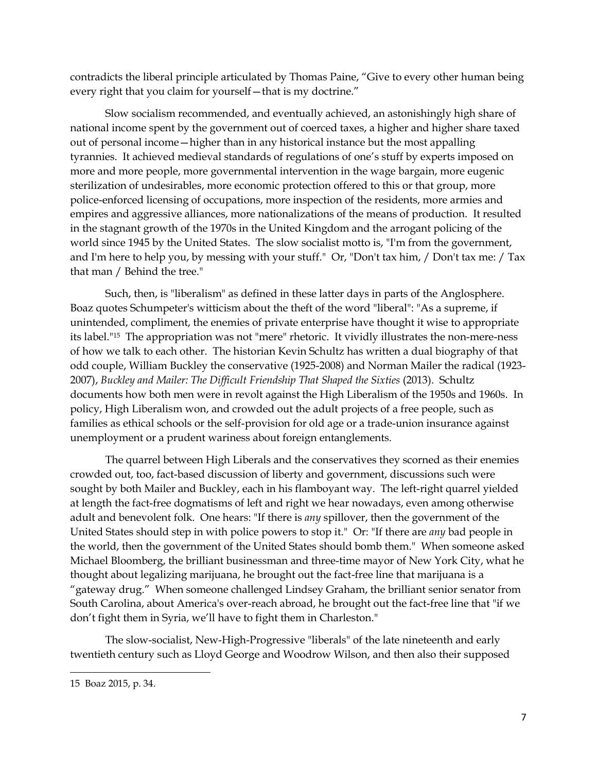contradicts the liberal principle articulated by Thomas Paine, "Give to every other human being every right that you claim for yourself—that is my doctrine."

Slow socialism recommended, and eventually achieved, an astonishingly high share of national income spent by the government out of coerced taxes, a higher and higher share taxed out of personal income—higher than in any historical instance but the most appalling tyrannies. It achieved medieval standards of regulations of one's stuff by experts imposed on more and more people, more governmental intervention in the wage bargain, more eugenic sterilization of undesirables, more economic protection offered to this or that group, more police-enforced licensing of occupations, more inspection of the residents, more armies and empires and aggressive alliances, more nationalizations of the means of production. It resulted in the stagnant growth of the 1970s in the United Kingdom and the arrogant policing of the world since 1945 by the United States. The slow socialist motto is, "I'm from the government, and I'm here to help you, by messing with your stuff." Or, "Don't tax him, / Don't tax me: / Tax that man / Behind the tree."

Such, then, is "liberalism" as defined in these latter days in parts of the Anglosphere. Boaz quotes Schumpeter's witticism about the theft of the word "liberal": "As a supreme, if unintended, compliment, the enemies of private enterprise have thought it wise to appropriate its label."<sup>15</sup> The appropriation was not "mere" rhetoric. It vividly illustrates the non-mere-ness of how we talk to each other. The historian Kevin Schultz has written a dual biography of that odd couple, William Buckley the conservative (1925-2008) and Norman Mailer the radical (1923- 2007), *Buckley and Mailer: The Difficult Friendship That Shaped the Sixties* (2013). Schultz documents how both men were in revolt against the High Liberalism of the 1950s and 1960s. In policy, High Liberalism won, and crowded out the adult projects of a free people, such as families as ethical schools or the self-provision for old age or a trade-union insurance against unemployment or a prudent wariness about foreign entanglements.

The quarrel between High Liberals and the conservatives they scorned as their enemies crowded out, too, fact-based discussion of liberty and government, discussions such were sought by both Mailer and Buckley, each in his flamboyant way. The left-right quarrel yielded at length the fact-free dogmatisms of left and right we hear nowadays, even among otherwise adult and benevolent folk. One hears: "If there is *any* spillover, then the government of the United States should step in with police powers to stop it." Or: "If there are *any* bad people in the world, then the government of the United States should bomb them." When someone asked Michael Bloomberg, the brilliant businessman and three-time mayor of New York City, what he thought about legalizing marijuana, he brought out the fact-free line that marijuana is a "gateway drug." When someone challenged Lindsey Graham, the brilliant senior senator from South Carolina, about America's over-reach abroad, he brought out the fact-free line that "if we don't fight them in Syria, we'll have to fight them in Charleston."

The slow-socialist, New-High-Progressive "liberals" of the late nineteenth and early twentieth century such as Lloyd George and Woodrow Wilson, and then also their supposed

<sup>15</sup> Boaz 2015, p. 34.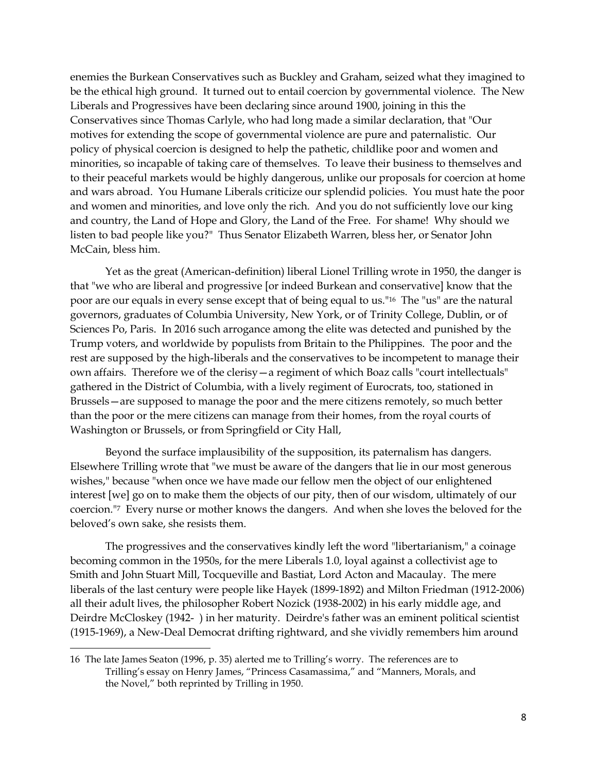enemies the Burkean Conservatives such as Buckley and Graham, seized what they imagined to be the ethical high ground. It turned out to entail coercion by governmental violence. The New Liberals and Progressives have been declaring since around 1900, joining in this the Conservatives since Thomas Carlyle, who had long made a similar declaration, that "Our motives for extending the scope of governmental violence are pure and paternalistic. Our policy of physical coercion is designed to help the pathetic, childlike poor and women and minorities, so incapable of taking care of themselves. To leave their business to themselves and to their peaceful markets would be highly dangerous, unlike our proposals for coercion at home and wars abroad. You Humane Liberals criticize our splendid policies. You must hate the poor and women and minorities, and love only the rich. And you do not sufficiently love our king and country, the Land of Hope and Glory, the Land of the Free. For shame! Why should we listen to bad people like you?" Thus Senator Elizabeth Warren, bless her, or Senator John McCain, bless him.

Yet as the great (American-definition) liberal Lionel Trilling wrote in 1950, the danger is that "we who are liberal and progressive [or indeed Burkean and conservative] know that the poor are our equals in every sense except that of being equal to us."<sup>16</sup> The "us" are the natural governors, graduates of Columbia University, New York, or of Trinity College, Dublin, or of Sciences Po, Paris. In 2016 such arrogance among the elite was detected and punished by the Trump voters, and worldwide by populists from Britain to the Philippines. The poor and the rest are supposed by the high-liberals and the conservatives to be incompetent to manage their own affairs. Therefore we of the clerisy—a regiment of which Boaz calls "court intellectuals" gathered in the District of Columbia, with a lively regiment of Eurocrats, too, stationed in Brussels—are supposed to manage the poor and the mere citizens remotely, so much better than the poor or the mere citizens can manage from their homes, from the royal courts of Washington or Brussels, or from Springfield or City Hall,

Beyond the surface implausibility of the supposition, its paternalism has dangers. Elsewhere Trilling wrote that "we must be aware of the dangers that lie in our most generous wishes," because "when once we have made our fellow men the object of our enlightened interest [we] go on to make them the objects of our pity, then of our wisdom, ultimately of our coercion."7 Every nurse or mother knows the dangers. And when she loves the beloved for the beloved's own sake, she resists them.

The progressives and the conservatives kindly left the word "libertarianism," a coinage becoming common in the 1950s, for the mere Liberals 1.0, loyal against a collectivist age to Smith and John Stuart Mill, Tocqueville and Bastiat, Lord Acton and Macaulay. The mere liberals of the last century were people like Hayek (1899-1892) and Milton Friedman (1912-2006) all their adult lives, the philosopher Robert Nozick (1938-2002) in his early middle age, and Deirdre McCloskey (1942- ) in her maturity. Deirdre's father was an eminent political scientist (1915-1969), a New-Deal Democrat drifting rightward, and she vividly remembers him around

<sup>16</sup> The late James Seaton (1996, p. 35) alerted me to Trilling's worry. The references are to Trilling's essay on Henry James, "Princess Casamassima," and "Manners, Morals, and the Novel," both reprinted by Trilling in 1950.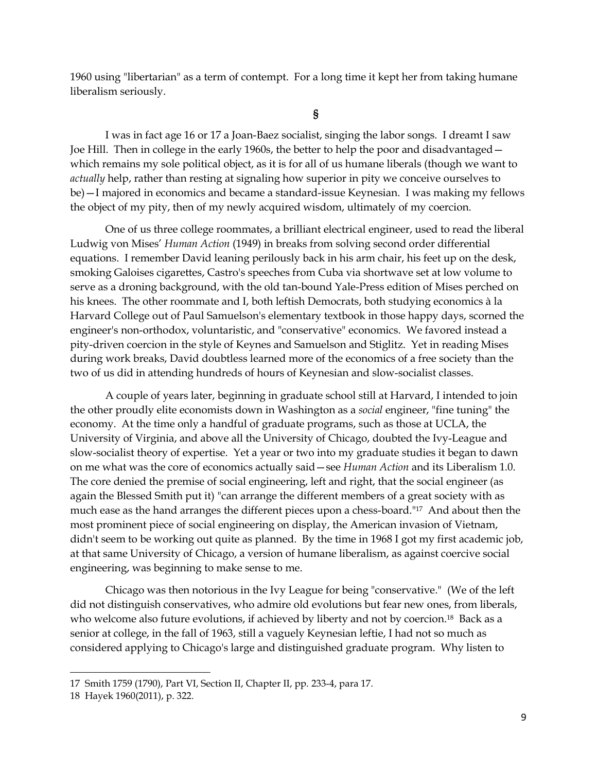1960 using "libertarian" as a term of contempt. For a long time it kept her from taking humane liberalism seriously.

**§**

I was in fact age 16 or 17 a Joan-Baez socialist, singing the labor songs. I dreamt I saw Joe Hill. Then in college in the early 1960s, the better to help the poor and disadvantaged which remains my sole political object, as it is for all of us humane liberals (though we want to *actually* help, rather than resting at signaling how superior in pity we conceive ourselves to be)—I majored in economics and became a standard-issue Keynesian. I was making my fellows the object of my pity, then of my newly acquired wisdom, ultimately of my coercion.

One of us three college roommates, a brilliant electrical engineer, used to read the liberal Ludwig von Mises' *Human Action* (1949) in breaks from solving second order differential equations. I remember David leaning perilously back in his arm chair, his feet up on the desk, smoking Galoises cigarettes, Castro's speeches from Cuba via shortwave set at low volume to serve as a droning background, with the old tan-bound Yale-Press edition of Mises perched on his knees. The other roommate and I, both leftish Democrats, both studying economics à la Harvard College out of Paul Samuelson's elementary textbook in those happy days, scorned the engineer's non-orthodox, voluntaristic, and "conservative" economics. We favored instead a pity-driven coercion in the style of Keynes and Samuelson and Stiglitz. Yet in reading Mises during work breaks, David doubtless learned more of the economics of a free society than the two of us did in attending hundreds of hours of Keynesian and slow-socialist classes.

A couple of years later, beginning in graduate school still at Harvard, I intended to join the other proudly elite economists down in Washington as a *social* engineer, "fine tuning" the economy. At the time only a handful of graduate programs, such as those at UCLA, the University of Virginia, and above all the University of Chicago, doubted the Ivy-League and slow-socialist theory of expertise. Yet a year or two into my graduate studies it began to dawn on me what was the core of economics actually said—see *Human Action* and its Liberalism 1.0. The core denied the premise of social engineering, left and right, that the social engineer (as again the Blessed Smith put it) "can arrange the different members of a great society with as much ease as the hand arranges the different pieces upon a chess-board."<sup>17</sup> And about then the most prominent piece of social engineering on display, the American invasion of Vietnam, didn't seem to be working out quite as planned. By the time in 1968 I got my first academic job, at that same University of Chicago, a version of humane liberalism, as against coercive social engineering, was beginning to make sense to me.

Chicago was then notorious in the Ivy League for being "conservative." (We of the left did not distinguish conservatives, who admire old evolutions but fear new ones, from liberals, who welcome also future evolutions, if achieved by liberty and not by coercion.<sup>18</sup> Back as a senior at college, in the fall of 1963, still a vaguely Keynesian leftie, I had not so much as considered applying to Chicago's large and distinguished graduate program. Why listen to

<sup>17</sup> Smith 1759 (1790), Part VI, Section II, Chapter II, pp. 233-4, para 17.

<sup>18</sup> Hayek 1960(2011), p. 322.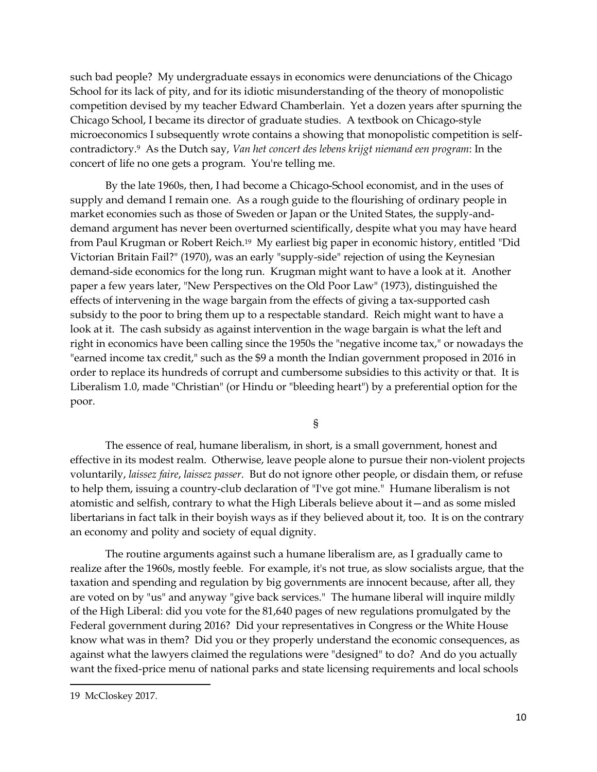such bad people? My undergraduate essays in economics were denunciations of the Chicago School for its lack of pity, and for its idiotic misunderstanding of the theory of monopolistic competition devised by my teacher Edward Chamberlain. Yet a dozen years after spurning the Chicago School, I became its director of graduate studies. A textbook on Chicago-style microeconomics I subsequently wrote contains a showing that monopolistic competition is selfcontradictory.<sup>9</sup> As the Dutch say, *Van het concert des lebens krijgt niemand een program*: In the concert of life no one gets a program. You're telling me.

By the late 1960s, then, I had become a Chicago-School economist, and in the uses of supply and demand I remain one. As a rough guide to the flourishing of ordinary people in market economies such as those of Sweden or Japan or the United States, the supply-anddemand argument has never been overturned scientifically, despite what you may have heard from Paul Krugman or Robert Reich.<sup>19</sup> My earliest big paper in economic history, entitled "Did Victorian Britain Fail?" (1970), was an early "supply-side" rejection of using the Keynesian demand-side economics for the long run. Krugman might want to have a look at it. Another paper a few years later, "New Perspectives on the Old Poor Law" (1973), distinguished the effects of intervening in the wage bargain from the effects of giving a tax-supported cash subsidy to the poor to bring them up to a respectable standard. Reich might want to have a look at it. The cash subsidy as against intervention in the wage bargain is what the left and right in economics have been calling since the 1950s the "negative income tax," or nowadays the "earned income tax credit," such as the \$9 a month the Indian government proposed in 2016 in order to replace its hundreds of corrupt and cumbersome subsidies to this activity or that. It is Liberalism 1.0, made "Christian" (or Hindu or "bleeding heart") by a preferential option for the poor.

§

The essence of real, humane liberalism, in short, is a small government, honest and effective in its modest realm. Otherwise, leave people alone to pursue their non-violent projects voluntarily, *laissez faire*, *laissez passer*. But do not ignore other people, or disdain them, or refuse to help them, issuing a country-club declaration of "I've got mine." Humane liberalism is not atomistic and selfish, contrary to what the High Liberals believe about it—and as some misled libertarians in fact talk in their boyish ways as if they believed about it, too. It is on the contrary an economy and polity and society of equal dignity.

The routine arguments against such a humane liberalism are, as I gradually came to realize after the 1960s, mostly feeble. For example, it's not true, as slow socialists argue, that the taxation and spending and regulation by big governments are innocent because, after all, they are voted on by "us" and anyway "give back services." The humane liberal will inquire mildly of the High Liberal: did you vote for the 81,640 pages of new regulations promulgated by the Federal government during 2016? Did your representatives in Congress or the White House know what was in them? Did you or they properly understand the economic consequences, as against what the lawyers claimed the regulations were "designed" to do? And do you actually want the fixed-price menu of national parks and state licensing requirements and local schools

<sup>19</sup> McCloskey 2017.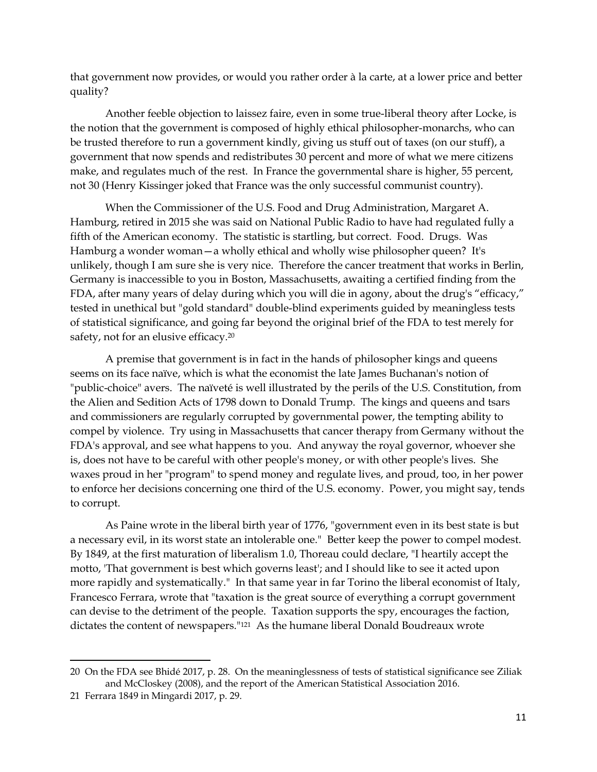that government now provides, or would you rather order à la carte, at a lower price and better quality?

Another feeble objection to laissez faire, even in some true-liberal theory after Locke, is the notion that the government is composed of highly ethical philosopher-monarchs, who can be trusted therefore to run a government kindly, giving us stuff out of taxes (on our stuff), a government that now spends and redistributes 30 percent and more of what we mere citizens make, and regulates much of the rest. In France the governmental share is higher, 55 percent, not 30 (Henry Kissinger joked that France was the only successful communist country).

When the Commissioner of the U.S. Food and Drug Administration, Margaret A. Hamburg, retired in 2015 she was said on National Public Radio to have had regulated fully a fifth of the American economy. The statistic is startling, but correct. Food. Drugs. Was Hamburg a wonder woman—a wholly ethical and wholly wise philosopher queen? It's unlikely, though I am sure she is very nice. Therefore the cancer treatment that works in Berlin, Germany is inaccessible to you in Boston, Massachusetts, awaiting a certified finding from the FDA, after many years of delay during which you will die in agony, about the drug's "efficacy," tested in unethical but "gold standard" double-blind experiments guided by meaningless tests of statistical significance, and going far beyond the original brief of the FDA to test merely for safety, not for an elusive efficacy.<sup>20</sup>

A premise that government is in fact in the hands of philosopher kings and queens seems on its face naïve, which is what the economist the late James Buchanan's notion of "public-choice" avers. The naïveté is well illustrated by the perils of the U.S. Constitution, from the Alien and Sedition Acts of 1798 down to Donald Trump. The kings and queens and tsars and commissioners are regularly corrupted by governmental power, the tempting ability to compel by violence. Try using in Massachusetts that cancer therapy from Germany without the FDA's approval, and see what happens to you. And anyway the royal governor, whoever she is, does not have to be careful with other people's money, or with other people's lives. She waxes proud in her "program" to spend money and regulate lives, and proud, too, in her power to enforce her decisions concerning one third of the U.S. economy. Power, you might say, tends to corrupt.

As Paine wrote in the liberal birth year of 1776, "government even in its best state is but a necessary evil, in its worst state an intolerable one." Better keep the power to compel modest. By 1849, at the first maturation of liberalism 1.0, Thoreau could declare, "I heartily accept the motto, 'That government is best which governs least'; and I should like to see it acted upon more rapidly and systematically." In that same year in far Torino the liberal economist of Italy, Francesco Ferrara, wrote that "taxation is the great source of everything a corrupt government can devise to the detriment of the people. Taxation supports the spy, encourages the faction, dictates the content of newspapers."<sup>121</sup> As the humane liberal Donald Boudreaux wrote

<sup>20</sup> On the FDA see Bhidé 2017, p. 28. On the meaninglessness of tests of statistical significance see Ziliak and McCloskey (2008), and the report of the American Statistical Association 2016.

<sup>21</sup> Ferrara 1849 in Mingardi 2017, p. 29.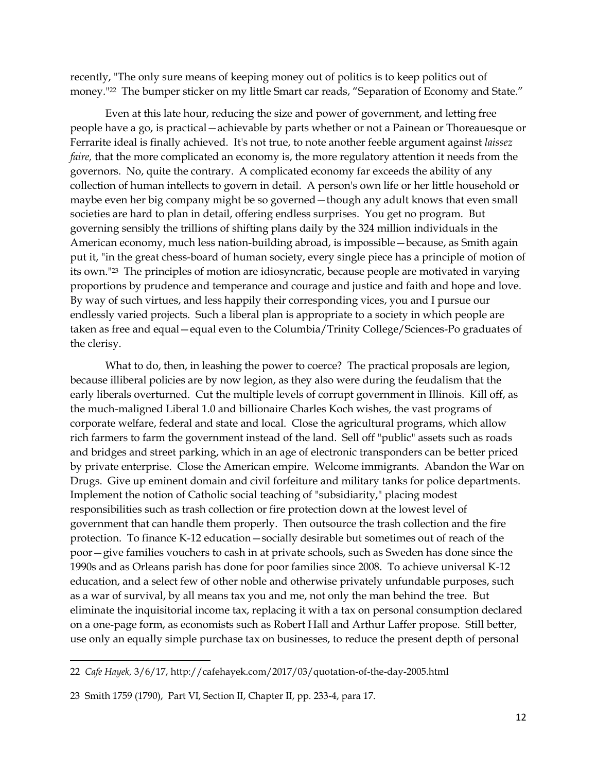recently, "The only sure means of keeping money out of politics is to keep politics out of money."<sup>22</sup> The bumper sticker on my little Smart car reads, "Separation of Economy and State."

Even at this late hour, reducing the size and power of government, and letting free people have a go, is practical—achievable by parts whether or not a Painean or Thoreauesque or Ferrarite ideal is finally achieved. It's not true, to note another feeble argument against *laissez faire,* that the more complicated an economy is, the more regulatory attention it needs from the governors. No, quite the contrary. A complicated economy far exceeds the ability of any collection of human intellects to govern in detail. A person's own life or her little household or maybe even her big company might be so governed—though any adult knows that even small societies are hard to plan in detail, offering endless surprises. You get no program. But governing sensibly the trillions of shifting plans daily by the 324 million individuals in the American economy, much less nation-building abroad, is impossible—because, as Smith again put it, "in the great chess-board of human society, every single piece has a principle of motion of its own."<sup>23</sup> The principles of motion are idiosyncratic, because people are motivated in varying proportions by prudence and temperance and courage and justice and faith and hope and love. By way of such virtues, and less happily their corresponding vices, you and I pursue our endlessly varied projects. Such a liberal plan is appropriate to a society in which people are taken as free and equal—equal even to the Columbia/Trinity College/Sciences-Po graduates of the clerisy.

What to do, then, in leashing the power to coerce? The practical proposals are legion, because illiberal policies are by now legion, as they also were during the feudalism that the early liberals overturned. Cut the multiple levels of corrupt government in Illinois. Kill off, as the much-maligned Liberal 1.0 and billionaire Charles Koch wishes, the vast programs of corporate welfare, federal and state and local. Close the agricultural programs, which allow rich farmers to farm the government instead of the land. Sell off "public" assets such as roads and bridges and street parking, which in an age of electronic transponders can be better priced by private enterprise. Close the American empire. Welcome immigrants. Abandon the War on Drugs. Give up eminent domain and civil forfeiture and military tanks for police departments. Implement the notion of Catholic social teaching of "subsidiarity," placing modest responsibilities such as trash collection or fire protection down at the lowest level of government that can handle them properly. Then outsource the trash collection and the fire protection. To finance K-12 education—socially desirable but sometimes out of reach of the poor—give families vouchers to cash in at private schools, such as Sweden has done since the 1990s and as Orleans parish has done for poor families since 2008. To achieve universal K-12 education, and a select few of other noble and otherwise privately unfundable purposes, such as a war of survival, by all means tax you and me, not only the man behind the tree. But eliminate the inquisitorial income tax, replacing it with a tax on personal consumption declared on a one-page form, as economists such as Robert Hall and Arthur Laffer propose. Still better, use only an equally simple purchase tax on businesses, to reduce the present depth of personal

<sup>22</sup> *Cafe Hayek,* 3/6/17, http://cafehayek.com/2017/03/quotation-of-the-day-2005.html

<sup>23</sup> Smith 1759 (1790), Part VI, Section II, Chapter II, pp. 233-4, para 17.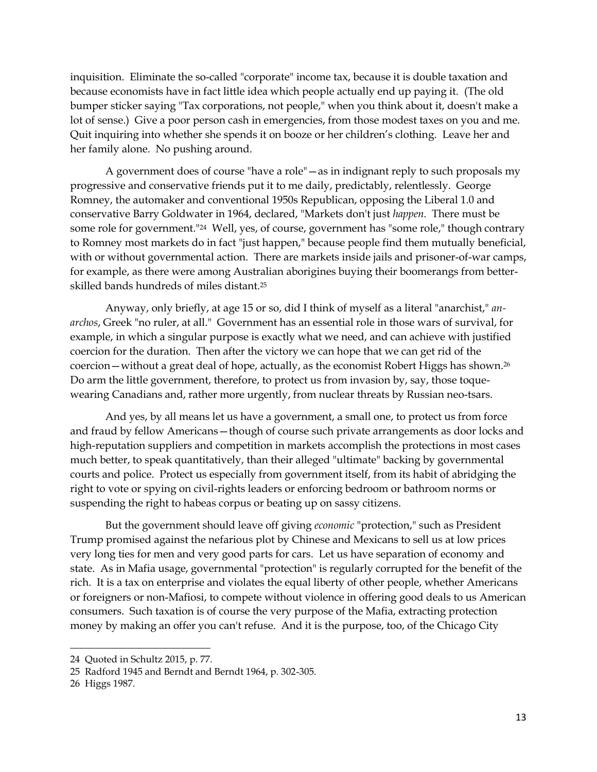inquisition. Eliminate the so-called "corporate" income tax, because it is double taxation and because economists have in fact little idea which people actually end up paying it. (The old bumper sticker saying "Tax corporations, not people," when you think about it, doesn't make a lot of sense.) Give a poor person cash in emergencies, from those modest taxes on you and me. Quit inquiring into whether she spends it on booze or her children's clothing. Leave her and her family alone. No pushing around.

A government does of course "have a role"—as in indignant reply to such proposals my progressive and conservative friends put it to me daily, predictably, relentlessly. George Romney, the automaker and conventional 1950s Republican, opposing the Liberal 1.0 and conservative Barry Goldwater in 1964, declared, "Markets don't just *happen.* There must be some role for government."<sup>24</sup> Well, yes, of course, government has "some role," though contrary to Romney most markets do in fact "just happen," because people find them mutually beneficial, with or without governmental action. There are markets inside jails and prisoner-of-war camps, for example, as there were among Australian aborigines buying their boomerangs from betterskilled bands hundreds of miles distant.<sup>25</sup>

Anyway, only briefly, at age 15 or so, did I think of myself as a literal "anarchist," *anarchos*, Greek "no ruler, at all." Government has an essential role in those wars of survival, for example, in which a singular purpose is exactly what we need, and can achieve with justified coercion for the duration. Then after the victory we can hope that we can get rid of the coercion—without a great deal of hope, actually, as the economist Robert Higgs has shown.<sup>26</sup> Do arm the little government, therefore, to protect us from invasion by, say, those toquewearing Canadians and, rather more urgently, from nuclear threats by Russian neo-tsars.

And yes, by all means let us have a government, a small one, to protect us from force and fraud by fellow Americans—though of course such private arrangements as door locks and high-reputation suppliers and competition in markets accomplish the protections in most cases much better, to speak quantitatively, than their alleged "ultimate" backing by governmental courts and police. Protect us especially from government itself, from its habit of abridging the right to vote or spying on civil-rights leaders or enforcing bedroom or bathroom norms or suspending the right to habeas corpus or beating up on sassy citizens.

But the government should leave off giving *economic* "protection," such as President Trump promised against the nefarious plot by Chinese and Mexicans to sell us at low prices very long ties for men and very good parts for cars. Let us have separation of economy and state. As in Mafia usage, governmental "protection" is regularly corrupted for the benefit of the rich. It is a tax on enterprise and violates the equal liberty of other people, whether Americans or foreigners or non-Mafiosi, to compete without violence in offering good deals to us American consumers. Such taxation is of course the very purpose of the Mafia, extracting protection money by making an offer you can't refuse. And it is the purpose, too, of the Chicago City

<sup>24</sup> Quoted in Schultz 2015, p. 77.

<sup>25</sup> Radford 1945 and Berndt and Berndt 1964, p. 302-305.

<sup>26</sup> Higgs 1987.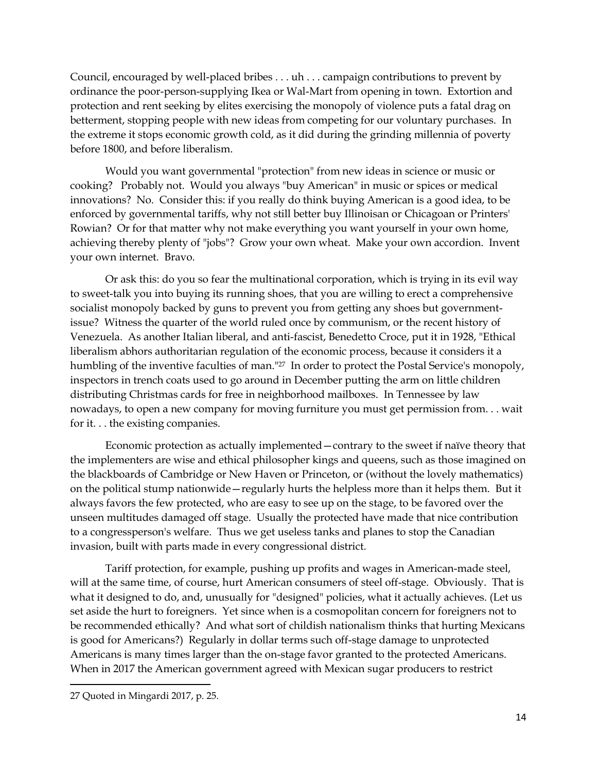Council, encouraged by well-placed bribes . . . uh . . . campaign contributions to prevent by ordinance the poor-person-supplying Ikea or Wal-Mart from opening in town. Extortion and protection and rent seeking by elites exercising the monopoly of violence puts a fatal drag on betterment, stopping people with new ideas from competing for our voluntary purchases. In the extreme it stops economic growth cold, as it did during the grinding millennia of poverty before 1800, and before liberalism.

Would you want governmental "protection" from new ideas in science or music or cooking? Probably not. Would you always "buy American" in music or spices or medical innovations? No. Consider this: if you really do think buying American is a good idea, to be enforced by governmental tariffs, why not still better buy Illinoisan or Chicagoan or Printers' Rowian? Or for that matter why not make everything you want yourself in your own home, achieving thereby plenty of "jobs"? Grow your own wheat. Make your own accordion. Invent your own internet. Bravo.

Or ask this: do you so fear the multinational corporation, which is trying in its evil way to sweet-talk you into buying its running shoes, that you are willing to erect a comprehensive socialist monopoly backed by guns to prevent you from getting any shoes but governmentissue? Witness the quarter of the world ruled once by communism, or the recent history of Venezuela. As another Italian liberal, and anti-fascist, Benedetto Croce, put it in 1928, "Ethical liberalism abhors authoritarian regulation of the economic process, because it considers it a humbling of the inventive faculties of man."<sup>27</sup> In order to protect the Postal Service's monopoly, inspectors in trench coats used to go around in December putting the arm on little children distributing Christmas cards for free in neighborhood mailboxes. In Tennessee by law nowadays, to open a new company for moving furniture you must get permission from. . . wait for it. . . the existing companies.

Economic protection as actually implemented—contrary to the sweet if naïve theory that the implementers are wise and ethical philosopher kings and queens, such as those imagined on the blackboards of Cambridge or New Haven or Princeton, or (without the lovely mathematics) on the political stump nationwide—regularly hurts the helpless more than it helps them. But it always favors the few protected, who are easy to see up on the stage, to be favored over the unseen multitudes damaged off stage. Usually the protected have made that nice contribution to a congressperson's welfare. Thus we get useless tanks and planes to stop the Canadian invasion, built with parts made in every congressional district.

Tariff protection, for example, pushing up profits and wages in American-made steel, will at the same time, of course, hurt American consumers of steel off-stage. Obviously. That is what it designed to do, and, unusually for "designed" policies, what it actually achieves. (Let us set aside the hurt to foreigners. Yet since when is a cosmopolitan concern for foreigners not to be recommended ethically? And what sort of childish nationalism thinks that hurting Mexicans is good for Americans?) Regularly in dollar terms such off-stage damage to unprotected Americans is many times larger than the on-stage favor granted to the protected Americans. When in 2017 the American government agreed with Mexican sugar producers to restrict

<sup>27</sup> Quoted in Mingardi 2017, p. 25.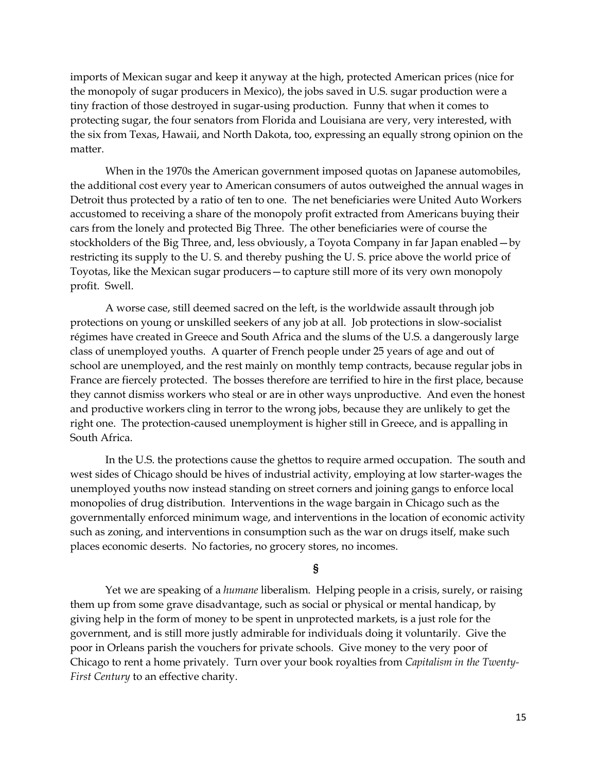imports of Mexican sugar and keep it anyway at the high, protected American prices (nice for the monopoly of sugar producers in Mexico), the jobs saved in U.S. sugar production were a tiny fraction of those destroyed in sugar-using production. Funny that when it comes to protecting sugar, the four senators from Florida and Louisiana are very, very interested, with the six from Texas, Hawaii, and North Dakota, too, expressing an equally strong opinion on the matter.

When in the 1970s the American government imposed quotas on Japanese automobiles, the additional cost every year to American consumers of autos outweighed the annual wages in Detroit thus protected by a ratio of ten to one. The net beneficiaries were United Auto Workers accustomed to receiving a share of the monopoly profit extracted from Americans buying their cars from the lonely and protected Big Three. The other beneficiaries were of course the stockholders of the Big Three, and, less obviously, a Toyota Company in far Japan enabled—by restricting its supply to the U. S. and thereby pushing the U. S. price above the world price of Toyotas, like the Mexican sugar producers—to capture still more of its very own monopoly profit. Swell.

A worse case, still deemed sacred on the left, is the worldwide assault through job protections on young or unskilled seekers of any job at all. Job protections in slow-socialist régimes have created in Greece and South Africa and the slums of the U.S. a dangerously large class of unemployed youths. A quarter of French people under 25 years of age and out of school are unemployed, and the rest mainly on monthly temp contracts, because regular jobs in France are fiercely protected. The bosses therefore are terrified to hire in the first place, because they cannot dismiss workers who steal or are in other ways unproductive. And even the honest and productive workers cling in terror to the wrong jobs, because they are unlikely to get the right one. The protection-caused unemployment is higher still in Greece, and is appalling in South Africa.

In the U.S. the protections cause the ghettos to require armed occupation. The south and west sides of Chicago should be hives of industrial activity, employing at low starter-wages the unemployed youths now instead standing on street corners and joining gangs to enforce local monopolies of drug distribution. Interventions in the wage bargain in Chicago such as the governmentally enforced minimum wage, and interventions in the location of economic activity such as zoning, and interventions in consumption such as the war on drugs itself, make such places economic deserts. No factories, no grocery stores, no incomes.

### **§**

Yet we are speaking of a *humane* liberalism. Helping people in a crisis, surely, or raising them up from some grave disadvantage, such as social or physical or mental handicap, by giving help in the form of money to be spent in unprotected markets, is a just role for the government, and is still more justly admirable for individuals doing it voluntarily. Give the poor in Orleans parish the vouchers for private schools. Give money to the very poor of Chicago to rent a home privately. Turn over your book royalties from *Capitalism in the Twenty-First Century* to an effective charity.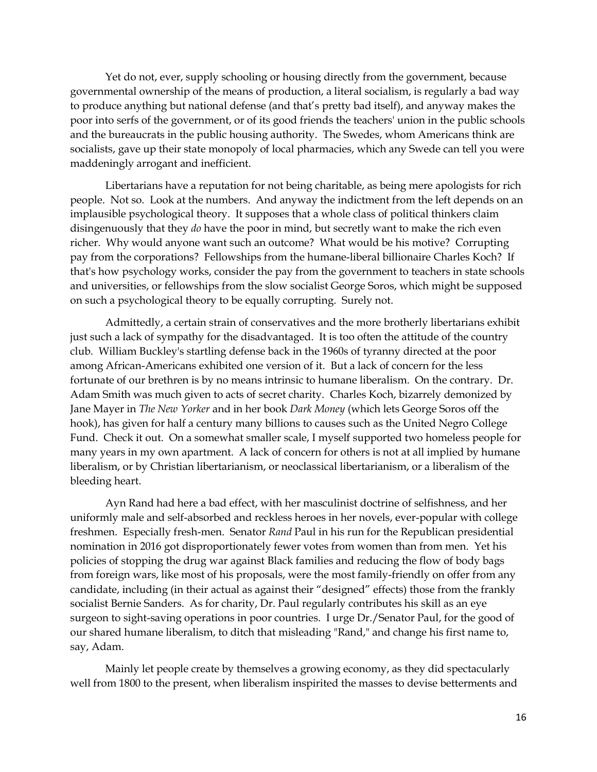Yet do not, ever, supply schooling or housing directly from the government, because governmental ownership of the means of production, a literal socialism, is regularly a bad way to produce anything but national defense (and that's pretty bad itself), and anyway makes the poor into serfs of the government, or of its good friends the teachers' union in the public schools and the bureaucrats in the public housing authority. The Swedes, whom Americans think are socialists, gave up their state monopoly of local pharmacies, which any Swede can tell you were maddeningly arrogant and inefficient.

Libertarians have a reputation for not being charitable, as being mere apologists for rich people. Not so. Look at the numbers. And anyway the indictment from the left depends on an implausible psychological theory. It supposes that a whole class of political thinkers claim disingenuously that they *do* have the poor in mind, but secretly want to make the rich even richer. Why would anyone want such an outcome? What would be his motive? Corrupting pay from the corporations? Fellowships from the humane-liberal billionaire Charles Koch? If that's how psychology works, consider the pay from the government to teachers in state schools and universities, or fellowships from the slow socialist George Soros, which might be supposed on such a psychological theory to be equally corrupting. Surely not.

Admittedly, a certain strain of conservatives and the more brotherly libertarians exhibit just such a lack of sympathy for the disadvantaged. It is too often the attitude of the country club. William Buckley's startling defense back in the 1960s of tyranny directed at the poor among African-Americans exhibited one version of it. But a lack of concern for the less fortunate of our brethren is by no means intrinsic to humane liberalism. On the contrary. Dr. Adam Smith was much given to acts of secret charity. Charles Koch, bizarrely demonized by Jane Mayer in *The New Yorker* and in her book *Dark Money* (which lets George Soros off the hook), has given for half a century many billions to causes such as the United Negro College Fund. Check it out. On a somewhat smaller scale, I myself supported two homeless people for many years in my own apartment. A lack of concern for others is not at all implied by humane liberalism, or by Christian libertarianism, or neoclassical libertarianism, or a liberalism of the bleeding heart.

Ayn Rand had here a bad effect, with her masculinist doctrine of selfishness, and her uniformly male and self-absorbed and reckless heroes in her novels, ever-popular with college freshmen. Especially fresh-men. Senator *Rand* Paul in his run for the Republican presidential nomination in 2016 got disproportionately fewer votes from women than from men. Yet his policies of stopping the drug war against Black families and reducing the flow of body bags from foreign wars, like most of his proposals, were the most family-friendly on offer from any candidate, including (in their actual as against their "designed" effects) those from the frankly socialist Bernie Sanders. As for charity, Dr. Paul regularly contributes his skill as an eye surgeon to sight-saving operations in poor countries. I urge Dr./Senator Paul, for the good of our shared humane liberalism, to ditch that misleading "Rand," and change his first name to, say, Adam.

Mainly let people create by themselves a growing economy, as they did spectacularly well from 1800 to the present, when liberalism inspirited the masses to devise betterments and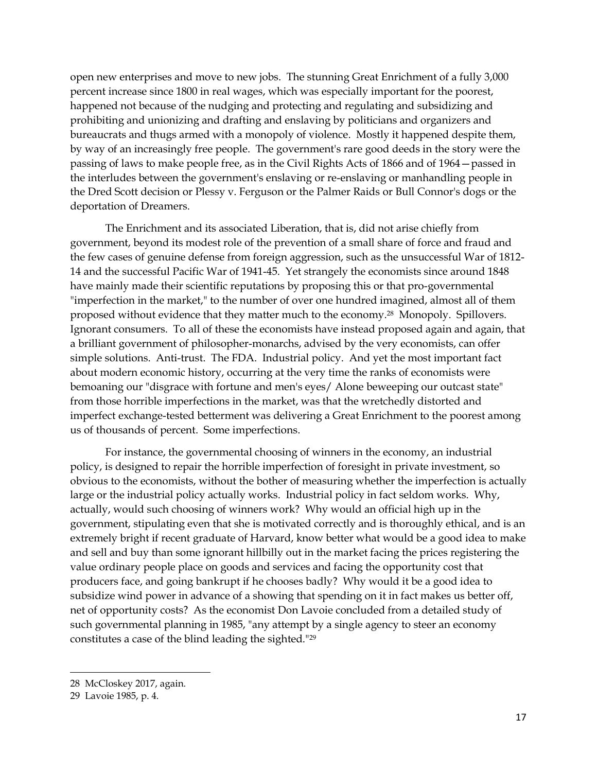open new enterprises and move to new jobs. The stunning Great Enrichment of a fully 3,000 percent increase since 1800 in real wages, which was especially important for the poorest, happened not because of the nudging and protecting and regulating and subsidizing and prohibiting and unionizing and drafting and enslaving by politicians and organizers and bureaucrats and thugs armed with a monopoly of violence. Mostly it happened despite them, by way of an increasingly free people. The government's rare good deeds in the story were the passing of laws to make people free, as in the Civil Rights Acts of 1866 and of 1964—passed in the interludes between the government's enslaving or re-enslaving or manhandling people in the Dred Scott decision or Plessy v. Ferguson or the Palmer Raids or Bull Connor's dogs or the deportation of Dreamers.

The Enrichment and its associated Liberation, that is, did not arise chiefly from government, beyond its modest role of the prevention of a small share of force and fraud and the few cases of genuine defense from foreign aggression, such as the unsuccessful War of 1812- 14 and the successful Pacific War of 1941-45. Yet strangely the economists since around 1848 have mainly made their scientific reputations by proposing this or that pro-governmental "imperfection in the market," to the number of over one hundred imagined, almost all of them proposed without evidence that they matter much to the economy.<sup>28</sup> Monopoly. Spillovers. Ignorant consumers. To all of these the economists have instead proposed again and again, that a brilliant government of philosopher-monarchs, advised by the very economists, can offer simple solutions. Anti-trust. The FDA. Industrial policy. And yet the most important fact about modern economic history, occurring at the very time the ranks of economists were bemoaning our "disgrace with fortune and men's eyes/ Alone beweeping our outcast state" from those horrible imperfections in the market, was that the wretchedly distorted and imperfect exchange-tested betterment was delivering a Great Enrichment to the poorest among us of thousands of percent. Some imperfections.

For instance, the governmental choosing of winners in the economy, an industrial policy, is designed to repair the horrible imperfection of foresight in private investment, so obvious to the economists, without the bother of measuring whether the imperfection is actually large or the industrial policy actually works. Industrial policy in fact seldom works. Why, actually, would such choosing of winners work? Why would an official high up in the government, stipulating even that she is motivated correctly and is thoroughly ethical, and is an extremely bright if recent graduate of Harvard, know better what would be a good idea to make and sell and buy than some ignorant hillbilly out in the market facing the prices registering the value ordinary people place on goods and services and facing the opportunity cost that producers face, and going bankrupt if he chooses badly? Why would it be a good idea to subsidize wind power in advance of a showing that spending on it in fact makes us better off, net of opportunity costs? As the economist Don Lavoie concluded from a detailed study of such governmental planning in 1985, "any attempt by a single agency to steer an economy constitutes a case of the blind leading the sighted."<sup>29</sup>

<sup>28</sup> McCloskey 2017, again.

<sup>29</sup> Lavoie 1985, p. 4.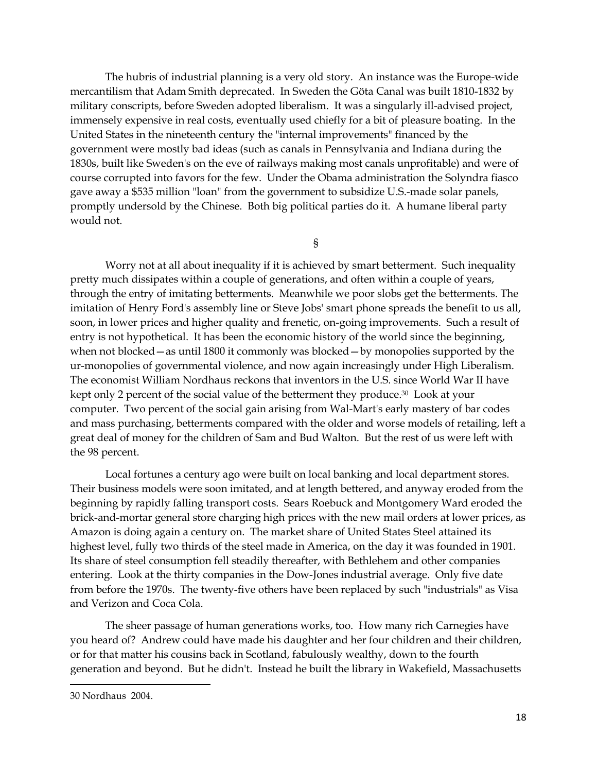The hubris of industrial planning is a very old story. An instance was the Europe-wide mercantilism that Adam Smith deprecated. In Sweden the Göta Canal was built 1810-1832 by military conscripts, before Sweden adopted liberalism. It was a singularly ill-advised project, immensely expensive in real costs, eventually used chiefly for a bit of pleasure boating. In the United States in the nineteenth century the "internal improvements" financed by the government were mostly bad ideas (such as canals in Pennsylvania and Indiana during the 1830s, built like Sweden's on the eve of railways making most canals unprofitable) and were of course corrupted into favors for the few. Under the Obama administration the Solyndra fiasco gave away a \$535 million "loan" from the government to subsidize U.S.-made solar panels, promptly undersold by the Chinese. Both big political parties do it. A humane liberal party would not.

§

Worry not at all about inequality if it is achieved by smart betterment. Such inequality pretty much dissipates within a couple of generations, and often within a couple of years, through the entry of imitating betterments. Meanwhile we poor slobs get the betterments. The imitation of Henry Ford's assembly line or Steve Jobs' smart phone spreads the benefit to us all, soon, in lower prices and higher quality and frenetic, on-going improvements. Such a result of entry is not hypothetical. It has been the economic history of the world since the beginning, when not blocked—as until 1800 it commonly was blocked—by monopolies supported by the ur-monopolies of governmental violence, and now again increasingly under High Liberalism. The economist William Nordhaus reckons that inventors in the U.S. since World War II have kept only 2 percent of the social value of the betterment they produce.<sup>30</sup> Look at your computer. Two percent of the social gain arising from Wal-Mart's early mastery of bar codes and mass purchasing, betterments compared with the older and worse models of retailing, left a great deal of money for the children of Sam and Bud Walton. But the rest of us were left with the 98 percent.

Local fortunes a century ago were built on local banking and local department stores. Their business models were soon imitated, and at length bettered, and anyway eroded from the beginning by rapidly falling transport costs. Sears Roebuck and Montgomery Ward eroded the brick-and-mortar general store charging high prices with the new mail orders at lower prices, as Amazon is doing again a century on. The market share of United States Steel attained its highest level, fully two thirds of the steel made in America, on the day it was founded in 1901. Its share of steel consumption fell steadily thereafter, with Bethlehem and other companies entering. Look at the thirty companies in the Dow-Jones industrial average. Only five date from before the 1970s. The twenty-five others have been replaced by such "industrials" as Visa and Verizon and Coca Cola.

The sheer passage of human generations works, too. How many rich Carnegies have you heard of? Andrew could have made his daughter and her four children and their children, or for that matter his cousins back in Scotland, fabulously wealthy, down to the fourth generation and beyond. But he didn't. Instead he built the library in Wakefield, Massachusetts

<sup>30</sup> Nordhaus 2004.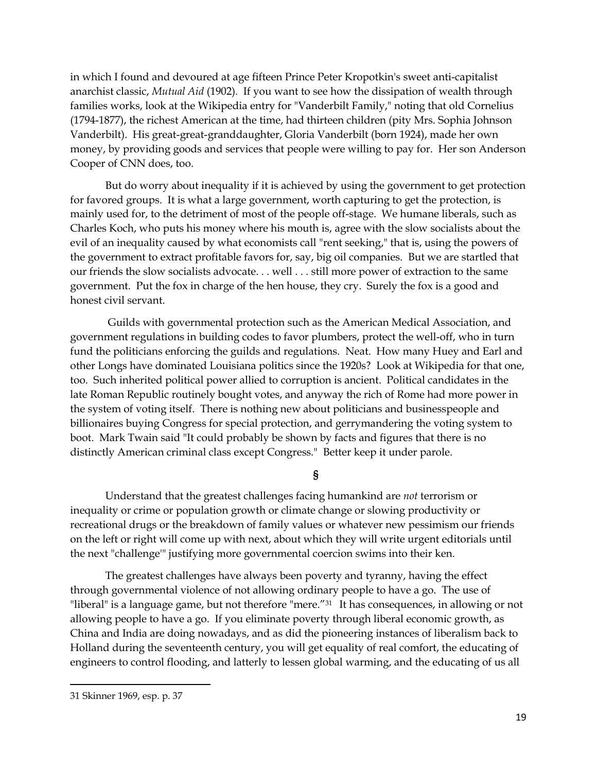in which I found and devoured at age fifteen Prince Peter Kropotkin's sweet anti-capitalist anarchist classic, *Mutual Aid* (1902)*.* If you want to see how the dissipation of wealth through families works, look at the Wikipedia entry for "Vanderbilt Family," noting that old Cornelius (1794-1877), the richest American at the time, had thirteen children (pity Mrs. Sophia Johnson Vanderbilt). His great-great-granddaughter, Gloria Vanderbilt (born 1924), made her own money, by providing goods and services that people were willing to pay for. Her son Anderson Cooper of CNN does, too.

But do worry about inequality if it is achieved by using the government to get protection for favored groups. It is what a large government, worth capturing to get the protection, is mainly used for, to the detriment of most of the people off-stage. We humane liberals, such as Charles Koch, who puts his money where his mouth is, agree with the slow socialists about the evil of an inequality caused by what economists call "rent seeking," that is, using the powers of the government to extract profitable favors for, say, big oil companies. But we are startled that our friends the slow socialists advocate. . . well . . . still more power of extraction to the same government. Put the fox in charge of the hen house, they cry. Surely the fox is a good and honest civil servant.

Guilds with governmental protection such as the American Medical Association, and government regulations in building codes to favor plumbers, protect the well-off, who in turn fund the politicians enforcing the guilds and regulations. Neat. How many Huey and Earl and other Longs have dominated Louisiana politics since the 1920s? Look at Wikipedia for that one, too. Such inherited political power allied to corruption is ancient. Political candidates in the late Roman Republic routinely bought votes, and anyway the rich of Rome had more power in the system of voting itself. There is nothing new about politicians and businesspeople and billionaires buying Congress for special protection, and gerrymandering the voting system to boot. Mark Twain said "It could probably be shown by facts and figures that there is no distinctly American criminal class except Congress." Better keep it under parole.

**§**

Understand that the greatest challenges facing humankind are *not* terrorism or inequality or crime or population growth or climate change or slowing productivity or recreational drugs or the breakdown of family values or whatever new pessimism our friends on the left or right will come up with next, about which they will write urgent editorials until the next "challenge'" justifying more governmental coercion swims into their ken.

The greatest challenges have always been poverty and tyranny, having the effect through governmental violence of not allowing ordinary people to have a go. The use of "liberal" is a language game, but not therefore "mere."<sup>31</sup> It has consequences, in allowing or not allowing people to have a go. If you eliminate poverty through liberal economic growth, as China and India are doing nowadays, and as did the pioneering instances of liberalism back to Holland during the seventeenth century, you will get equality of real comfort, the educating of engineers to control flooding, and latterly to lessen global warming, and the educating of us all

<sup>31</sup> Skinner 1969, esp. p. 37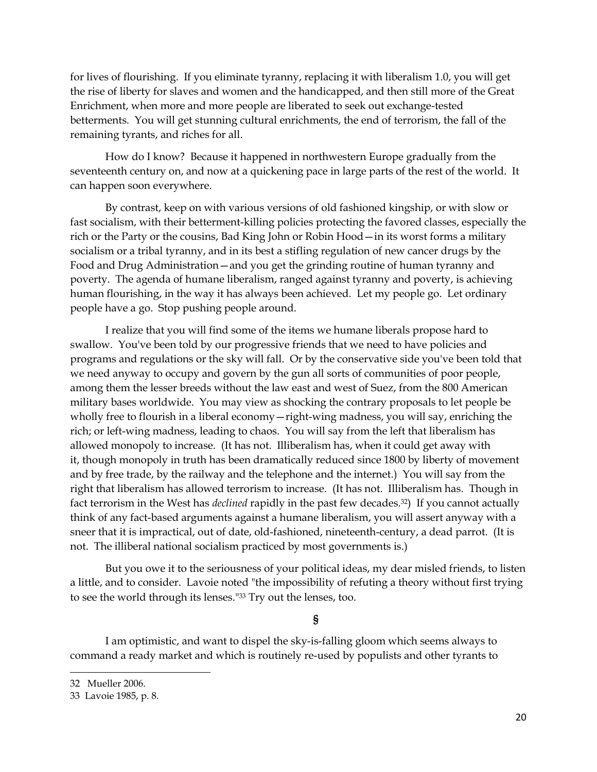for lives of flourishing. If you eliminate tyranny, replacing it with liberalism 1.0, you will get the rise of liberty for slaves and women and the handicapped, and then still more of the Great Enrichment, when more and more people are liberated to seek out exchange-tested betterments. You will get stunning cultural enrichments, the end of terrorism, the fall of the remaining tyrants, and riches for all.

How do I know? Because it happened in northwestern Europe gradually from the seventeenth century on, and now at a quickening pace in large parts of the rest of the world. It can happen soon everywhere.

By contrast, keep on with various versions of old fashioned kingship, or with slow or fast socialism, with their betterment-killing policies protecting the favored classes, especially the rich or the Party or the cousins, Bad King John or Robin Hood—in its worst forms a military socialism or a tribal tyranny, and in its best a stifling regulation of new cancer drugs by the Food and Drug Administration—and you get the grinding routine of human tyranny and poverty. The agenda of humane liberalism, ranged against tyranny and poverty, is achieving human flourishing, in the way it has always been achieved. Let my people go. Let ordinary people have a go. Stop pushing people around.

I realize that you will find some of the items we humane liberals propose hard to swallow. You've been told by our progressive friends that we need to have policies and programs and regulations or the sky will fall. Or by the conservative side you've been told that we need anyway to occupy and govern by the gun all sorts of communities of poor people, among them the lesser breeds without the law east and west of Suez, from the 800 American military bases worldwide. You may view as shocking the contrary proposals to let people be wholly free to flourish in a liberal economy—right-wing madness, you will say, enriching the rich; or left-wing madness, leading to chaos. You will say from the left that liberalism has allowed monopoly to increase. (It has not. Illiberalism has, when it could get away with it, though monopoly in truth has been dramatically reduced since 1800 by liberty of movement and by free trade, by the railway and the telephone and the internet.) You will say from the right that liberalism has allowed terrorism to increase. (It has not. Illiberalism has. Though in fact terrorism in the West has *declined* rapidly in the past few decades.32) If you cannot actually think of any fact-based arguments against a humane liberalism, you will assert anyway with a sneer that it is impractical, out of date, old-fashioned, nineteenth-century, a dead parrot. (It is not. The illiberal national socialism practiced by most governments is.)

But you owe it to the seriousness of your political ideas, my dear misled friends, to listen a little, and to consider. Lavoie noted "the impossibility of refuting a theory without first trying to see the world through its lenses." <sup>33</sup> Try out the lenses, too.

**§**

I am optimistic, and want to dispel the sky-is-falling gloom which seems always to command a ready market and which is routinely re-used by populists and other tyrants to

<sup>32</sup> Mueller 2006.

<sup>33</sup> Lavoie 1985, p. 8.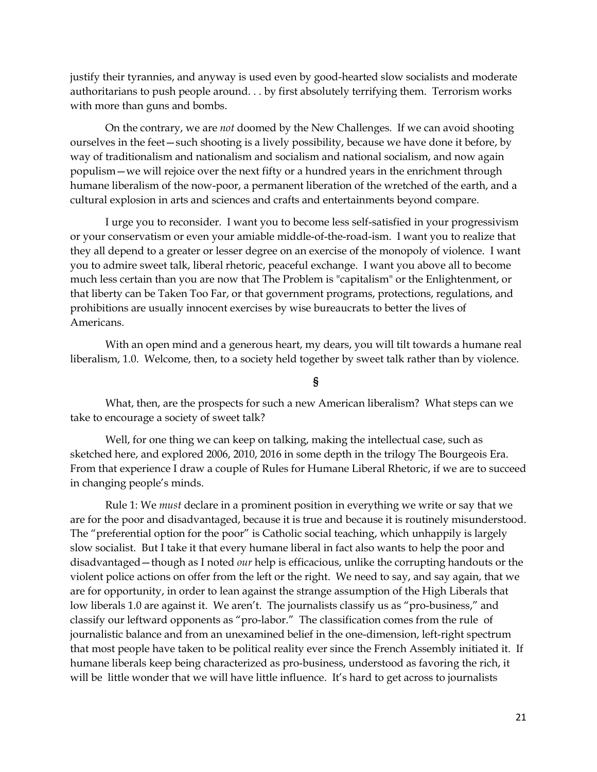justify their tyrannies, and anyway is used even by good-hearted slow socialists and moderate authoritarians to push people around. . . by first absolutely terrifying them. Terrorism works with more than guns and bombs.

On the contrary, we are *not* doomed by the New Challenges. If we can avoid shooting ourselves in the feet—such shooting is a lively possibility, because we have done it before, by way of traditionalism and nationalism and socialism and national socialism, and now again populism—we will rejoice over the next fifty or a hundred years in the enrichment through humane liberalism of the now-poor, a permanent liberation of the wretched of the earth, and a cultural explosion in arts and sciences and crafts and entertainments beyond compare.

I urge you to reconsider. I want you to become less self-satisfied in your progressivism or your conservatism or even your amiable middle-of-the-road-ism. I want you to realize that they all depend to a greater or lesser degree on an exercise of the monopoly of violence. I want you to admire sweet talk, liberal rhetoric, peaceful exchange. I want you above all to become much less certain than you are now that The Problem is "capitalism" or the Enlightenment, or that liberty can be Taken Too Far, or that government programs, protections, regulations, and prohibitions are usually innocent exercises by wise bureaucrats to better the lives of Americans.

With an open mind and a generous heart, my dears, you will tilt towards a humane real liberalism, 1.0. Welcome, then, to a society held together by sweet talk rather than by violence.

**§**

What, then, are the prospects for such a new American liberalism? What steps can we take to encourage a society of sweet talk?

Well, for one thing we can keep on talking, making the intellectual case, such as sketched here, and explored 2006, 2010, 2016 in some depth in the trilogy The Bourgeois Era. From that experience I draw a couple of Rules for Humane Liberal Rhetoric, if we are to succeed in changing people's minds.

Rule 1: We *must* declare in a prominent position in everything we write or say that we are for the poor and disadvantaged, because it is true and because it is routinely misunderstood. The "preferential option for the poor" is Catholic social teaching, which unhappily is largely slow socialist. But I take it that every humane liberal in fact also wants to help the poor and disadvantaged—though as I noted *our* help is efficacious, unlike the corrupting handouts or the violent police actions on offer from the left or the right. We need to say, and say again, that we are for opportunity, in order to lean against the strange assumption of the High Liberals that low liberals 1.0 are against it. We aren't. The journalists classify us as "pro-business," and classify our leftward opponents as "pro-labor." The classification comes from the rule of journalistic balance and from an unexamined belief in the one-dimension, left-right spectrum that most people have taken to be political reality ever since the French Assembly initiated it. If humane liberals keep being characterized as pro-business, understood as favoring the rich, it will be little wonder that we will have little influence. It's hard to get across to journalists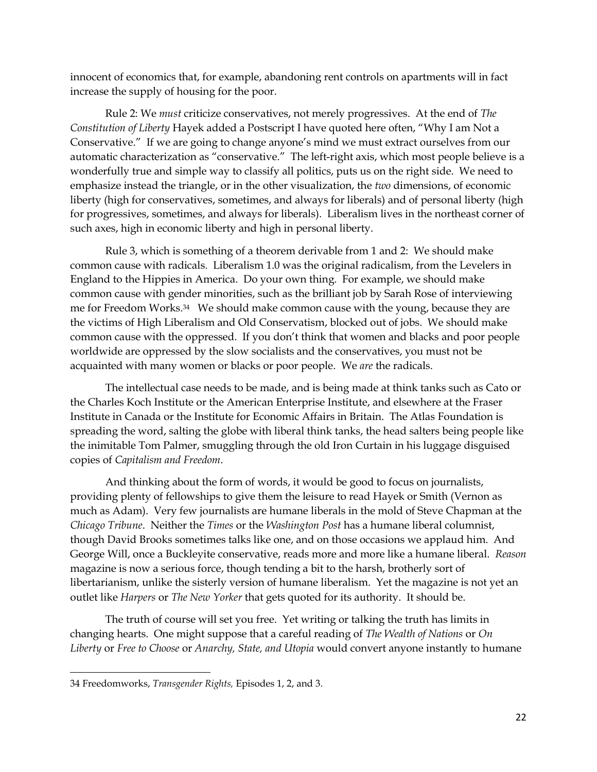innocent of economics that, for example, abandoning rent controls on apartments will in fact increase the supply of housing for the poor.

Rule 2: We *must* criticize conservatives, not merely progressives. At the end of *The Constitution of Liberty* Hayek added a Postscript I have quoted here often, "Why I am Not a Conservative." If we are going to change anyone's mind we must extract ourselves from our automatic characterization as "conservative." The left-right axis, which most people believe is a wonderfully true and simple way to classify all politics, puts us on the right side. We need to emphasize instead the triangle, or in the other visualization, the *two* dimensions, of economic liberty (high for conservatives, sometimes, and always for liberals) and of personal liberty (high for progressives, sometimes, and always for liberals). Liberalism lives in the northeast corner of such axes, high in economic liberty and high in personal liberty.

Rule 3, which is something of a theorem derivable from 1 and 2: We should make common cause with radicals. Liberalism 1.0 was the original radicalism, from the Levelers in England to the Hippies in America. Do your own thing. For example, we should make common cause with gender minorities, such as the brilliant job by Sarah Rose of interviewing me for Freedom Works.34 We should make common cause with the young, because they are the victims of High Liberalism and Old Conservatism, blocked out of jobs. We should make common cause with the oppressed. If you don't think that women and blacks and poor people worldwide are oppressed by the slow socialists and the conservatives, you must not be acquainted with many women or blacks or poor people. We *are* the radicals.

The intellectual case needs to be made, and is being made at think tanks such as Cato or the Charles Koch Institute or the American Enterprise Institute, and elsewhere at the Fraser Institute in Canada or the Institute for Economic Affairs in Britain. The Atlas Foundation is spreading the word, salting the globe with liberal think tanks, the head salters being people like the inimitable Tom Palmer, smuggling through the old Iron Curtain in his luggage disguised copies of *Capitalism and Freedom*.

And thinking about the form of words, it would be good to focus on journalists, providing plenty of fellowships to give them the leisure to read Hayek or Smith (Vernon as much as Adam). Very few journalists are humane liberals in the mold of Steve Chapman at the *Chicago Tribune*. Neither the *Times* or the *Washington Post* has a humane liberal columnist, though David Brooks sometimes talks like one, and on those occasions we applaud him. And George Will, once a Buckleyite conservative, reads more and more like a humane liberal. *Reason* magazine is now a serious force, though tending a bit to the harsh, brotherly sort of libertarianism, unlike the sisterly version of humane liberalism. Yet the magazine is not yet an outlet like *Harpers* or *The New Yorker* that gets quoted for its authority. It should be.

The truth of course will set you free. Yet writing or talking the truth has limits in changing hearts. One might suppose that a careful reading of *The Wealth of Nations* or *On Liberty* or *Free to Choose* or *Anarchy, State, and Utopia* would convert anyone instantly to humane

<sup>34</sup> Freedomworks, *Transgender Rights,* Episodes 1, 2, and 3.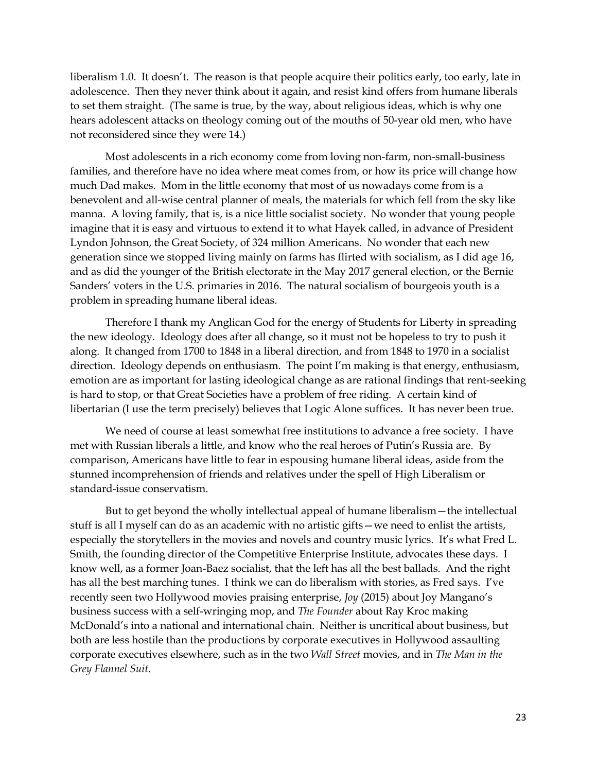liberalism 1.0. It doesn't. The reason is that people acquire their politics early, too early, late in adolescence. Then they never think about it again, and resist kind offers from humane liberals to set them straight. (The same is true, by the way, about religious ideas, which is why one hears adolescent attacks on theology coming out of the mouths of 50-year old men, who have not reconsidered since they were 14.)

Most adolescents in a rich economy come from loving non-farm, non-small-business families, and therefore have no idea where meat comes from, or how its price will change how much Dad makes. Mom in the little economy that most of us nowadays come from is a benevolent and all-wise central planner of meals, the materials for which fell from the sky like manna. A loving family, that is, is a nice little socialist society. No wonder that young people imagine that it is easy and virtuous to extend it to what Hayek called, in advance of President Lyndon Johnson, the Great Society, of 324 million Americans. No wonder that each new generation since we stopped living mainly on farms has flirted with socialism, as I did age 16, and as did the younger of the British electorate in the May 2017 general election, or the Bernie Sanders' voters in the U.S. primaries in 2016. The natural socialism of bourgeois youth is a problem in spreading humane liberal ideas.

Therefore I thank my Anglican God for the energy of Students for Liberty in spreading the new ideology. Ideology does after all change, so it must not be hopeless to try to push it along. It changed from 1700 to 1848 in a liberal direction, and from 1848 to 1970 in a socialist direction. Ideology depends on enthusiasm. The point I'm making is that energy, enthusiasm, emotion are as important for lasting ideological change as are rational findings that rent-seeking is hard to stop, or that Great Societies have a problem of free riding. A certain kind of libertarian (I use the term precisely) believes that Logic Alone suffices. It has never been true.

We need of course at least somewhat free institutions to advance a free society. I have met with Russian liberals a little, and know who the real heroes of Putin's Russia are. By comparison, Americans have little to fear in espousing humane liberal ideas, aside from the stunned incomprehension of friends and relatives under the spell of High Liberalism or standard-issue conservatism.

But to get beyond the wholly intellectual appeal of humane liberalism—the intellectual stuff is all I myself can do as an academic with no artistic gifts—we need to enlist the artists, especially the storytellers in the movies and novels and country music lyrics. It's what Fred L. Smith, the founding director of the Competitive Enterprise Institute, advocates these days. I know well, as a former Joan-Baez socialist, that the left has all the best ballads. And the right has all the best marching tunes. I think we can do liberalism with stories, as Fred says. I've recently seen two Hollywood movies praising enterprise, *Joy* (2015) about Joy Mangano's business success with a self-wringing mop, and *The Founder* about Ray Kroc making McDonald's into a national and international chain. Neither is uncritical about business, but both are less hostile than the productions by corporate executives in Hollywood assaulting corporate executives elsewhere, such as in the two *Wall Street* movies, and in *The Man in the Grey Flannel Suit*.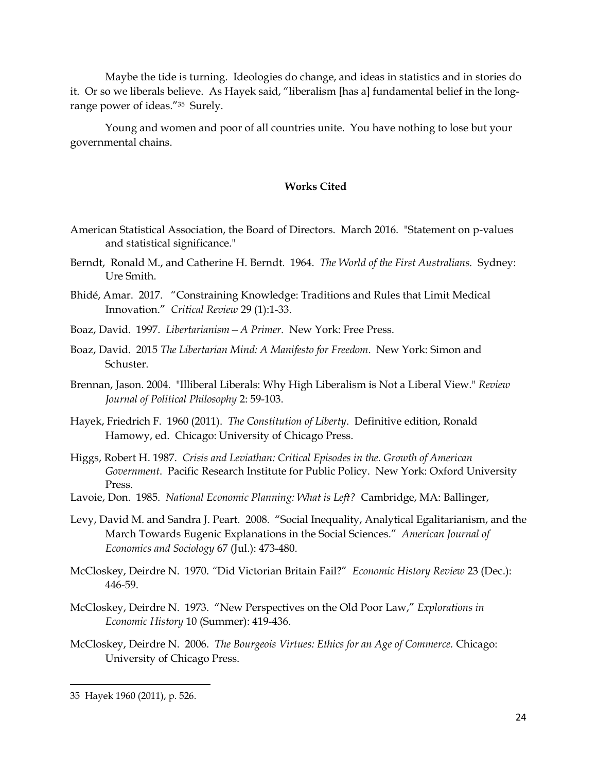Maybe the tide is turning. Ideologies do change, and ideas in statistics and in stories do it. Or so we liberals believe. As Hayek said, "liberalism [has a] fundamental belief in the longrange power of ideas."35 Surely.

Young and women and poor of all countries unite. You have nothing to lose but your governmental chains.

#### **Works Cited**

- American Statistical Association, the Board of Directors. March 2016. "Statement on p-values and statistical significance."
- Berndt, Ronald M., and Catherine H. Berndt. 1964. *The World of the First Australians.* Sydney: Ure Smith.
- Bhidé, Amar. 2017. "Constraining Knowledge: Traditions and Rules that Limit Medical Innovation." *Critical Review* 29 (1):1-33.
- Boaz, David. 1997. *Libertarianism—A Primer.* New York: Free Press.
- Boaz, David. 2015 *The Libertarian Mind: A Manifesto for Freedom*. New York: Simon and Schuster.
- Brennan, Jason. 2004. "Illiberal Liberals: Why High Liberalism is Not a Liberal View." *Review Journal of Political Philosophy* 2: 59-103.
- Hayek, Friedrich F. 1960 (2011). *The Constitution of Liberty*. Definitive edition, Ronald Hamowy, ed. Chicago: University of Chicago Press.
- Higgs, Robert H. 1987. *Crisis and Leviathan: Critical Episodes in the. Growth of American Government*. Pacific Research Institute for Public Policy. New York: Oxford University Press.
- Lavoie, Don. 1985. *National Economic Planning: What is Left?* Cambridge, MA: Ballinger,
- Levy, David M. and Sandra J. Peart. 2008. "Social Inequality, Analytical Egalitarianism, and the March Towards Eugenic Explanations in the Social Sciences." *American Journal of Economics and Sociology* 67 (Jul.): 473-480.
- McCloskey, Deirdre N. 1970. *"*Did Victorian Britain Fail?" *Economic History Review* 23 (Dec.): 446-59.
- McCloskey, Deirdre N. 1973. "New Perspectives on the Old Poor Law," *Explorations in Economic History* 10 (Summer): 419-436.
- McCloskey, Deirdre N. 2006. *The Bourgeois Virtues: Ethics for an Age of Commerce.* Chicago: University of Chicago Press.

<sup>35</sup> Hayek 1960 (2011), p. 526.